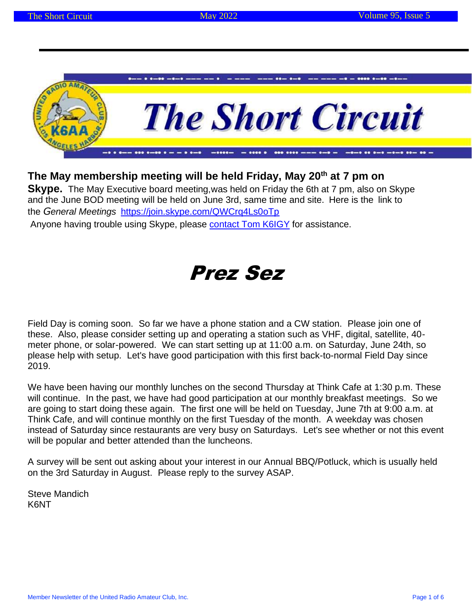

### **The May membership meeting will be held Friday, May 20th at 7 pm on**

**Skype.** The May Executive board meeting,was held on Friday the 6th at 7 pm, also on Skype and the June BOD meeting will be held on June 3rd, same time and site. Here is the link to the *General Meetings* <https://join.skype.com/QWCrq4Ls0oTp>

Anyone having trouble using Skype, please contact Tom K6IGY for assistance.

# Prez Sez

Field Day is coming soon. So far we have a phone station and a CW station. Please join one of these. Also, please consider setting up and operating a station such as VHF, digital, satellite, 40 meter phone, or solar-powered. We can start setting up at 11:00 a.m. on Saturday, June 24th, so please help with setup. Let's have good participation with this first back-to-normal Field Day since 2019.

We have been having our monthly lunches on the second Thursday at Think Cafe at 1:30 p.m. These will continue. In the past, we have had good participation at our monthly breakfast meetings. So we are going to start doing these again. The first one will be held on Tuesday, June 7th at 9:00 a.m. at Think Cafe, and will continue monthly on the first Tuesday of the month. A weekday was chosen instead of Saturday since restaurants are very busy on Saturdays. Let's see whether or not this event will be popular and better attended than the luncheons.

A survey will be sent out asking about your interest in our Annual BBQ/Potluck, which is usually held on the 3rd Saturday in August. Please reply to the survey ASAP.

Steve Mandich K6NT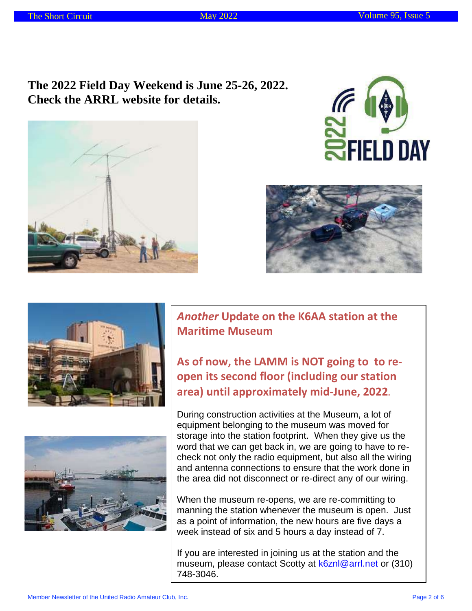**The 2022 Field Day Weekend is June 25-26, 2022. Check the ARRL website for details.**











*Another* **Update on the K6AA station at the Maritime Museum**

**As of now, the LAMM is NOT going to to reopen its second floor (including our station area) until approximately mid-June, 2022.**

During construction activities at the Museum, a lot of equipment belonging to the museum was moved for storage into the station footprint. When they give us the word that we can get back in, we are going to have to recheck not only the radio equipment, but also all the wiring and antenna connections to ensure that the work done in the area did not disconnect or re-direct any of our wiring.

When the museum re-opens, we are re-committing to manning the station whenever the museum is open. Just as a point of information, the new hours are five days a week instead of six and 5 hours a day instead of 7.

If you are interested in joining us at the station and the museum, please contact Scotty at [k6znl@arrl.net](mailto:k6znl@arrl.net) or (310) 748-3046.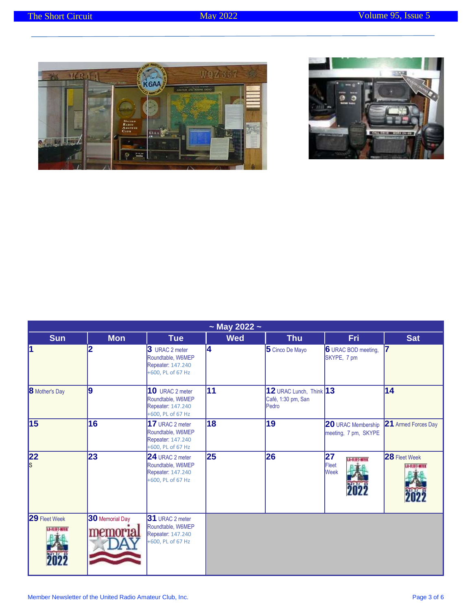



| $\sim$ May 2022 $\sim$ |                             |                                                                                |            |                                                            |                                                   |                         |  |
|------------------------|-----------------------------|--------------------------------------------------------------------------------|------------|------------------------------------------------------------|---------------------------------------------------|-------------------------|--|
| <b>Sun</b>             | <b>Mon</b>                  | <b>Tue</b>                                                                     | <b>Wed</b> | <b>Thu</b>                                                 | Fri.                                              | <b>Sat</b>              |  |
| ł1                     | $\overline{2}$              | 3 URAC 2 meter<br>Roundtable, W6MEP<br>Repeater: 147.240<br>+600, PL of 67 Hz  | 14         | 5 Cinco De Mayo                                            | 6 URAC BOD meeting,<br>SKYPE, 7 pm                |                         |  |
| <b>8</b> Mother's Day  | 9                           | 10 URAC 2 meter<br>Roundtable, W6MEP<br>Repeater: 147.240<br>+600, PL of 67 Hz | 11         | $12$ URAC Lunch, Think $13$<br>Café, 1:30 pm, San<br>Pedro |                                                   | 14                      |  |
| 15                     | 16                          | 17 URAC 2 meter<br>Roundtable, W6MEP<br>Repeater: 147.240<br>+600, PL of 67 Hz | 18         | 19                                                         | <b>20</b> URAC Membership<br>meeting, 7 pm, SKYPE | 21 Armed Forces Day     |  |
| 22<br>$\vert$ s        | 23                          | 24 URAC 2 meter<br>Roundtable, W6MEP<br>Repeater: 147.240<br>+600, PL of 67 Hz | 25         | 26                                                         | 27<br>认用开拓工<br>Fleet<br><b>Week</b>               | 28 Fleet Week<br>法相并下断用 |  |
| 29 Fleet Week<br>法扣开循开 | 30 Memorial Day<br>memoria. | 31 URAC 2 meter<br>Roundtable, W6MEP<br>Repeater: 147.240<br>+600, PL of 67 Hz |            |                                                            |                                                   |                         |  |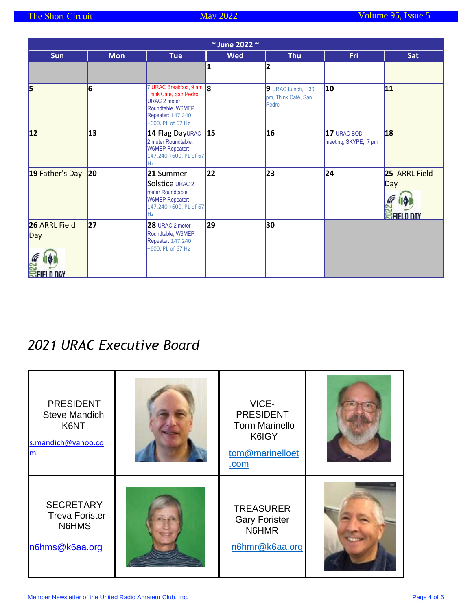|                                                                          |              |                                                                                                                                          | $\sim$ June 2022 $\sim$ |                                                    |                                     |                                           |
|--------------------------------------------------------------------------|--------------|------------------------------------------------------------------------------------------------------------------------------------------|-------------------------|----------------------------------------------------|-------------------------------------|-------------------------------------------|
| <b>Sun</b>                                                               | <b>Mon</b>   | <b>Tue</b>                                                                                                                               | <b>Wed</b>              | <b>Thu</b>                                         | Fri.                                | <b>Sat</b>                                |
|                                                                          |              |                                                                                                                                          | 1                       | 2                                                  |                                     |                                           |
| 5                                                                        | 6            | 7 URAC Breakfast, 9 am  8<br>Think Café, San Pedro<br><b>URAC 2 meter</b><br>Roundtable, W6MEP<br>Repeater: 147.240<br>+600, PL of 67 Hz |                         | 9 URAC Lunch, 1:30<br>pm, Think Café, San<br>Pedro | 10                                  | 11                                        |
| 12                                                                       | 13           | 14 Flag DayURAC 15<br>2 meter Roundtable,<br>W6MEP Repeater:<br>147.240 +600, PL of 67<br>Hz                                             |                         | 16                                                 | 17 URAC BOD<br>meeting, SKYPE, 7 pm | 18                                        |
| 19 Father's Day                                                          | $ 20\rangle$ | 21 Summer<br>Solstice URAC 2<br>meter Roundtable,<br><b>W6MEP Repeater:</b><br>147.240 +600, PL of 67<br>Hz.                             | 22                      | 23                                                 | 24                                  | 25 ARRL Field<br>Day<br><b>SFIELD DAY</b> |
| <b>26 ARRL Field</b><br>$\mathsf{Day}$<br><b>RE</b><br><b>SEIELD DAY</b> | 27           | 28 URAC 2 meter<br>Roundtable, W6MEP<br>Repeater: 147.240<br>+600, PL of 67 Hz                                                           | 29                      | 30                                                 |                                     |                                           |

## *2021 URAC Executive Board*

| <b>PRESIDENT</b><br><b>Steve Mandich</b><br>K6NT<br>s.mandich@yahoo.co | VICE-<br><b>PRESIDENT</b><br><b>Torm Marinello</b><br>K6IGY<br>tom@marinelloet<br>.com |  |
|------------------------------------------------------------------------|----------------------------------------------------------------------------------------|--|
| <b>SECRETARY</b><br><b>Treva Forister</b><br>N6HMS<br>n6hms@k6aa.org   | <b>TREASURER</b><br><b>Gary Forister</b><br>N6HMR<br>n6hmr@k6aa.org                    |  |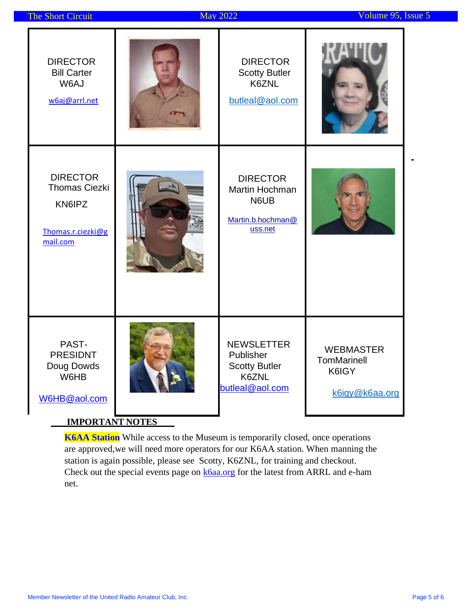| The Short Circuit                                                                        | <b>May 2022</b>                                                                    | Volume 95, Issue 5                                                |
|------------------------------------------------------------------------------------------|------------------------------------------------------------------------------------|-------------------------------------------------------------------|
| <b>DIRECTOR</b><br><b>Bill Carter</b><br>W6AJ<br>w6aj@arrl.net                           | <b>DIRECTOR</b><br><b>Scotty Butler</b><br>K6ZNL<br>butleal@aol.com                |                                                                   |
| <b>DIRECTOR</b><br><b>Thomas Ciezki</b><br>KN6IPZ<br>Thomas.r.ciezki@g<br>mail.com       | <b>DIRECTOR</b><br>Martin Hochman<br>N6UB<br>Martin.b.hochman@<br>uss.net          |                                                                   |
| PAST-<br><b>PRESIDNT</b><br>Doug Dowds<br>W6HB<br>W6HB@aol.com<br><b>IMPORTANT NOTES</b> | <b>NEWSLETTER</b><br>Publisher<br><b>Scotty Butler</b><br>K6ZNL<br>butleal@aol.com | <b>WEBMASTER</b><br><b>TomMarinell</b><br>K6IGY<br>k6igy@k6aa.org |

**K6AA Station** While access to the Museum is temporarily closed, once operations are approved,we will need more operators for our K6AA station. When manning the station is again possible, please see Scotty, K6ZNL, for training and checkout. Check out the special events page on **k6aa.org** for the latest from ARRL and e-ham net.